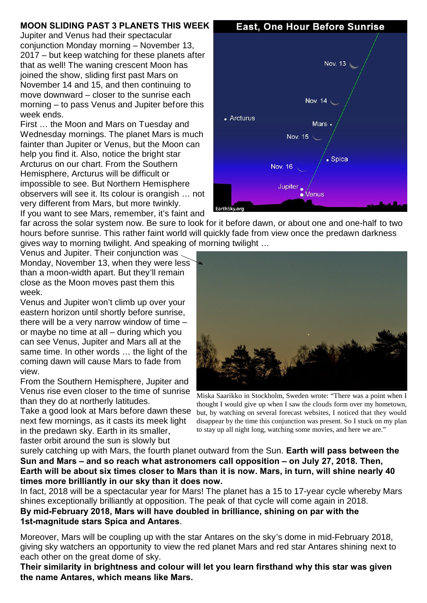## **MOON SLIDING PAST 3 PLANETS THIS WEEK**

Jupiter and Venus had their spectacular conjunction Monday morning – November 13, 2017 – but keep watching for these planets after that as well! The waning crescent Moon has joined the show, sliding first past Mars on November 14 and 15, and then continuing to move downward – closer to the sunrise each morning – to pass Venus and Jupiter before this week ends.

First … the Moon and Mars on Tuesday and Wednesday mornings. The planet Mars is much fainter than Jupiter or Venus, but the Moon can help you find it. Also, notice the bright star Arcturus on our chart. From the Southern Hemisphere, Arcturus will be difficult or impossible to see. But Northern Hemisphere observers will see it. Its colour is orangish … not very different from Mars, but more twinkly. If you want to see Mars, remember, it's faint and

far across the solar system now. Be sure to look for it before dawn, or about one and one-half to two hours before sunrise. This rather faint world will quickly fade from view once the predawn darkness gives way to morning twilight. And speaking of morning twilight …

Venus and Jupiter. Their conjunction was Monday, November 13, when they were less than a moon-width apart. But they'll remain close as the Moon moves past them this week.

Venus and Jupiter won't climb up over your eastern horizon until shortly before sunrise, there will be a very narrow window of time – or maybe no time at all – during which you can see Venus, Jupiter and Mars all at the same time. In other words … the light of the coming dawn will cause Mars to fade from view.

From the Southern Hemisphere, Jupiter and Venus rise even closer to the time of sunrise than they do at northerly latitudes.

Take a good look at Mars before dawn these next few mornings, as it casts its meek light in the predawn sky. Earth in its smaller, faster orbit around the sun is slowly but

**East, One Hour Before Sunrise** 



Miska Saarikko in Stockholm, Sweden wrote: "There was a point when I thought I would give up when I saw the clouds form over my hometown, but, by watching on several forecast websites, I noticed that they would disappear by the time this conjunction was present. So I stuck on my plan to stay up all night long, watching some movies, and here we are."

surely catching up with Mars, the fourth planet outward from the Sun. **Earth will pass between the Sun and Mars – and so reach what astronomers call opposition – on July 27, 2018. Then, Earth will be about six times closer to Mars than it is now. Mars, in turn, will shine nearly 40 times more brilliantly in our sky than it does now.** 

In fact, 2018 will be a spectacular year for Mars! The planet has a 15 to 17-year cycle whereby Mars shines exceptionally brilliantly at opposition. The peak of that cycle will come again in 2018. **By mid-February 2018, Mars will have doubled in brilliance, shining on par with the 1st-magnitude stars Spica and Antares**.

Moreover, Mars will be coupling up with the star Antares on the sky's dome in mid-February 2018, giving sky watchers an opportunity to view the red planet Mars and red star Antares shining next to each other on the great dome of sky.

**Their similarity in brightness and colour will let you learn firsthand why this star was given the name Antares, which means like Mars.**